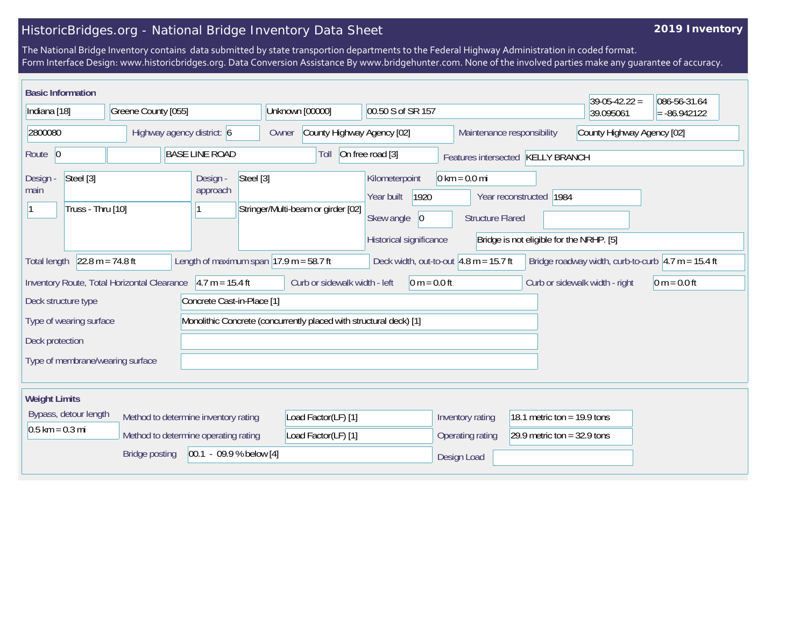## HistoricBridges.org - National Bridge Inventory Data Sheet

## **2019 Inventory**

The National Bridge Inventory contains data submitted by state transportion departments to the Federal Highway Administration in coded format. Form Interface Design: www.historicbridges.org. Data Conversion Assistance By www.bridgehunter.com. None of the involved parties make any guarantee of accuracy.

| <b>Basic Information</b>                                                                                                                                                                                                                                                   |  |                                                 |                                                          |                                                                                              |                                                            |                                | $39-05-42.22 =$ | 086-56-31.64 |  |
|----------------------------------------------------------------------------------------------------------------------------------------------------------------------------------------------------------------------------------------------------------------------------|--|-------------------------------------------------|----------------------------------------------------------|----------------------------------------------------------------------------------------------|------------------------------------------------------------|--------------------------------|-----------------|--------------|--|
| Indiana [18]<br>Greene County [055]                                                                                                                                                                                                                                        |  | Unknown [00000]<br>00.50 S of SR 157            |                                                          |                                                                                              |                                                            | 39.095061                      | $= -86.942122$  |              |  |
| 2800080<br>Highway agency district: 6                                                                                                                                                                                                                                      |  | Owner                                           | County Highway Agency [02]<br>Maintenance responsibility |                                                                                              |                                                            | County Highway Agency [02]     |                 |              |  |
| Route 0                                                                                                                                                                                                                                                                    |  | <b>BASE LINE ROAD</b>                           | Toll                                                     | On free road [3]                                                                             | Features intersected KELLY BRANCH                          |                                |                 |              |  |
| Steel [3]<br>Design -<br>main<br>Truss - Thru [10]                                                                                                                                                                                                                         |  | Steel [3]<br>Design -<br>approach               | Stringer/Multi-beam or girder [02]                       | Kilometerpoint<br>1920<br>Year built<br>Skew angle<br>$ 0\rangle$<br>Historical significance | $0 \text{ km} = 0.0 \text{ mi}$<br><b>Structure Flared</b> | Year reconstructed 1984        |                 |              |  |
| Bridge is not eligible for the NRHP. [5]<br>$22.8 m = 74.8 ft$<br>Length of maximum span $ 17.9 \text{ m} = 58.7 \text{ ft} $<br>Deck width, out-to-out $4.8$ m = 15.7 ft<br>Bridge roadway width, curb-to-curb $ 4.7 \text{ m} = 15.4 \text{ ft} $<br><b>Total length</b> |  |                                                 |                                                          |                                                                                              |                                                            |                                |                 |              |  |
| $4.7 m = 15.4 ft$<br>Inventory Route, Total Horizontal Clearance                                                                                                                                                                                                           |  | Curb or sidewalk width - left<br>$0 m = 0.0 ft$ |                                                          |                                                                                              |                                                            | Curb or sidewalk width - right | $0 m = 0.0 ft$  |              |  |
| Deck structure type<br>Concrete Cast-in-Place [1]                                                                                                                                                                                                                          |  |                                                 |                                                          |                                                                                              |                                                            |                                |                 |              |  |
| Monolithic Concrete (concurrently placed with structural deck) [1]<br>Type of wearing surface                                                                                                                                                                              |  |                                                 |                                                          |                                                                                              |                                                            |                                |                 |              |  |
| Deck protection                                                                                                                                                                                                                                                            |  |                                                 |                                                          |                                                                                              |                                                            |                                |                 |              |  |
| Type of membrane/wearing surface                                                                                                                                                                                                                                           |  |                                                 |                                                          |                                                                                              |                                                            |                                |                 |              |  |
| <b>Weight Limits</b>                                                                                                                                                                                                                                                       |  |                                                 |                                                          |                                                                                              |                                                            |                                |                 |              |  |
| Bypass, detour length                                                                                                                                                                                                                                                      |  | Method to determine inventory rating            |                                                          |                                                                                              | 18.1 metric ton = 19.9 tons<br>Inventory rating            |                                |                 |              |  |
| $0.5$ km = 0.3 mi<br>Method to determine operating rating                                                                                                                                                                                                                  |  |                                                 | Load Factor(LF) [1]                                      |                                                                                              | Operating rating<br>29.9 metric ton = $32.9$ tons          |                                |                 |              |  |
| $[00.1 - 09.9 %$ below [4]<br><b>Bridge posting</b>                                                                                                                                                                                                                        |  |                                                 |                                                          |                                                                                              | Design Load                                                |                                |                 |              |  |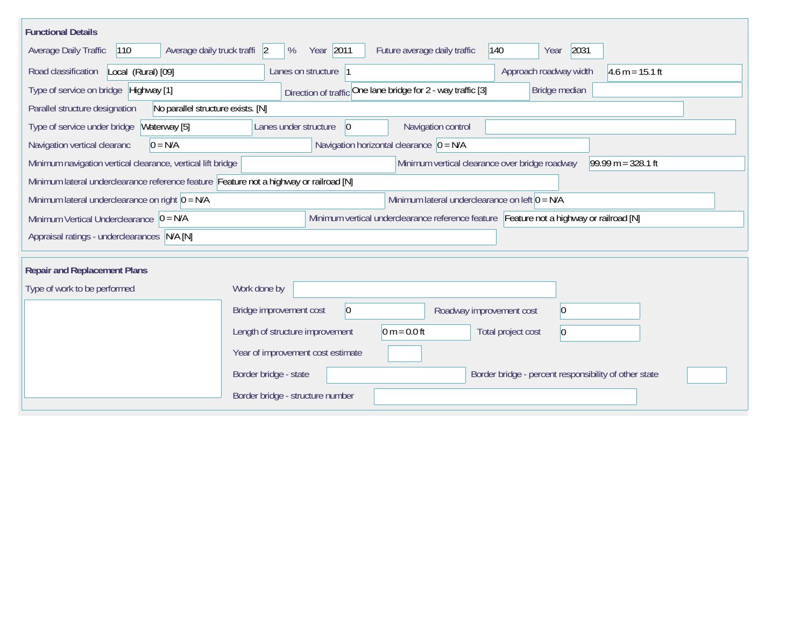| <b>Functional Details</b>                                                                                                                       |                                                                                           |  |  |  |  |  |  |  |  |  |  |
|-------------------------------------------------------------------------------------------------------------------------------------------------|-------------------------------------------------------------------------------------------|--|--|--|--|--|--|--|--|--|--|
| 2031<br>Average daily truck traffi 2<br>Year 2011<br>Future average daily traffic<br>Average Daily Traffic<br>$ 110\rangle$<br>%<br>140<br>Year |                                                                                           |  |  |  |  |  |  |  |  |  |  |
| Road classification<br>Local (Rural) [09]                                                                                                       | Approach roadway width<br>$4.6 m = 15.1 ft$<br>Lanes on structure 1                       |  |  |  |  |  |  |  |  |  |  |
| Type of service on bridge Highway [1]                                                                                                           | Direction of traffic One lane bridge for 2 - way traffic [3]<br>Bridge median             |  |  |  |  |  |  |  |  |  |  |
| Parallel structure designation<br>No parallel structure exists. [N]                                                                             |                                                                                           |  |  |  |  |  |  |  |  |  |  |
| Waterway [5]<br>Type of service under bridge                                                                                                    | Navigation control<br>Lanes under structure<br>$ 0\rangle$                                |  |  |  |  |  |  |  |  |  |  |
| $0 = N/A$<br>Navigation vertical clearanc                                                                                                       | Navigation horizontal clearance $\vert 0 = N/A \vert$                                     |  |  |  |  |  |  |  |  |  |  |
| Minimum navigation vertical clearance, vertical lift bridge<br>Minimum vertical clearance over bridge roadway<br>$99.99 m = 328.1 ft$           |                                                                                           |  |  |  |  |  |  |  |  |  |  |
| Minimum lateral underclearance reference feature Feature not a highway or railroad [N]                                                          |                                                                                           |  |  |  |  |  |  |  |  |  |  |
| Minimum lateral underclearance on right $0 = N/A$                                                                                               | Minimum lateral underclearance on left $0 = N/A$                                          |  |  |  |  |  |  |  |  |  |  |
| Minimum Vertical Underclearance $ 0 = N/A$                                                                                                      | Minimum vertical underclearance reference feature Feature not a highway or railroad [N]   |  |  |  |  |  |  |  |  |  |  |
| Appraisal ratings - underclearances N/A [N]                                                                                                     |                                                                                           |  |  |  |  |  |  |  |  |  |  |
|                                                                                                                                                 |                                                                                           |  |  |  |  |  |  |  |  |  |  |
| <b>Repair and Replacement Plans</b>                                                                                                             |                                                                                           |  |  |  |  |  |  |  |  |  |  |
| Type of work to be performed                                                                                                                    | Work done by                                                                              |  |  |  |  |  |  |  |  |  |  |
|                                                                                                                                                 | 0 <br>Bridge improvement cost<br>$ 0\rangle$<br>Roadway improvement cost                  |  |  |  |  |  |  |  |  |  |  |
|                                                                                                                                                 | 0 m = $0.0$ ft<br>Length of structure improvement<br>Total project cost<br>$\overline{0}$ |  |  |  |  |  |  |  |  |  |  |
|                                                                                                                                                 | Year of improvement cost estimate                                                         |  |  |  |  |  |  |  |  |  |  |
|                                                                                                                                                 | Border bridge - state<br>Border bridge - percent responsibility of other state            |  |  |  |  |  |  |  |  |  |  |
|                                                                                                                                                 | Border bridge - structure number                                                          |  |  |  |  |  |  |  |  |  |  |